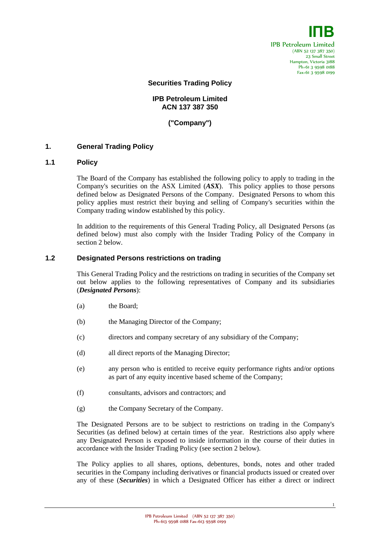

**Securities Trading Policy**

## **IPB Petroleum Limited ACN 137 387 350**

**("Company")**

### **1. General Trading Policy**

#### **1.1 Policy**

The Board of the Company has established the following policy to apply to trading in the Company's securities on the ASX Limited (*ASX*). This policy applies to those persons defined below as Designated Persons of the Company. Designated Persons to whom this policy applies must restrict their buying and selling of Company's securities within the Company trading window established by this policy.

In addition to the requirements of this General Trading Policy, all Designated Persons (as defined below) must also comply with the Insider Trading Policy of the Company in section 2 below.

### **1.2 Designated Persons restrictions on trading**

This General Trading Policy and the restrictions on trading in securities of the Company set out below applies to the following representatives of Company and its subsidiaries (*Designated Persons*):

- (a) the Board;
- (b) the Managing Director of the Company;
- (c) directors and company secretary of any subsidiary of the Company;
- (d) all direct reports of the Managing Director;
- (e) any person who is entitled to receive equity performance rights and/or options as part of any equity incentive based scheme of the Company;
- (f) consultants, advisors and contractors; and
- (g) the Company Secretary of the Company.

The Designated Persons are to be subject to restrictions on trading in the Company's Securities (as defined below) at certain times of the year. Restrictions also apply where any Designated Person is exposed to inside information in the course of their duties in accordance with the Insider Trading Policy (see section 2 below).

The Policy applies to all shares, options, debentures, bonds, notes and other traded securities in the Company including derivatives or financial products issued or created over any of these (*Securities*) in which a Designated Officer has either a direct or indirect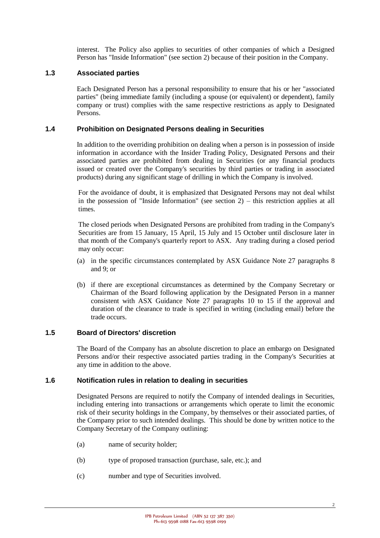interest. The Policy also applies to securities of other companies of which a Designed Person has "Inside Information" (see section 2) because of their position in the Company.

## **1.3 Associated parties**

Each Designated Person has a personal responsibility to ensure that his or her "associated parties" (being immediate family (including a spouse (or equivalent) or dependent), family company or trust) complies with the same respective restrictions as apply to Designated Persons.

## **1.4 Prohibition on Designated Persons dealing in Securities**

In addition to the overriding prohibition on dealing when a person is in possession of inside information in accordance with the Insider Trading Policy, Designated Persons and their associated parties are prohibited from dealing in Securities (or any financial products issued or created over the Company's securities by third parties or trading in associated products) during any significant stage of drilling in which the Company is involved.

For the avoidance of doubt, it is emphasized that Designated Persons may not deal whilst in the possession of "Inside Information" (see section 2) – this restriction applies at all times.

The closed periods when Designated Persons are prohibited from trading in the Company's Securities are from 15 January, 15 April, 15 July and 15 October until disclosure later in that month of the Company's quarterly report to ASX. Any trading during a closed period may only occur:

- (a) in the specific circumstances contemplated by ASX Guidance Note 27 paragraphs 8 and 9; or
- (b) if there are exceptional circumstances as determined by the Company Secretary or Chairman of the Board following application by the Designated Person in a manner consistent with ASX Guidance Note 27 paragraphs 10 to 15 if the approval and duration of the clearance to trade is specified in writing (including email) before the trade occurs.

## **1.5 Board of Directors' discretion**

The Board of the Company has an absolute discretion to place an embargo on Designated Persons and/or their respective associated parties trading in the Company's Securities at any time in addition to the above.

## **1.6 Notification rules in relation to dealing in securities**

Designated Persons are required to notify the Company of intended dealings in Securities, including entering into transactions or arrangements which operate to limit the economic risk of their security holdings in the Company, by themselves or their associated parties, of the Company prior to such intended dealings. This should be done by written notice to the Company Secretary of the Company outlining:

- (a) name of security holder;
- (b) type of proposed transaction (purchase, sale, etc.); and
- (c) number and type of Securities involved.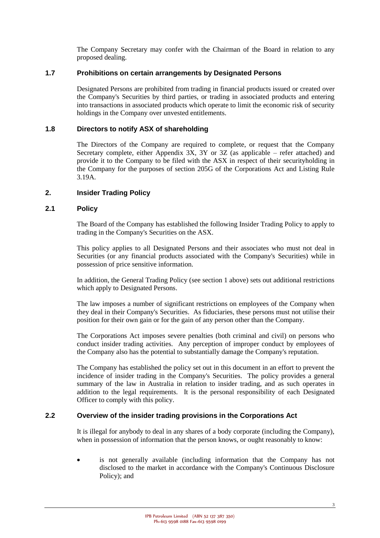The Company Secretary may confer with the Chairman of the Board in relation to any proposed dealing.

## **1.7 Prohibitions on certain arrangements by Designated Persons**

Designated Persons are prohibited from trading in financial products issued or created over the Company's Securities by third parties, or trading in associated products and entering into transactions in associated products which operate to limit the economic risk of security holdings in the Company over unvested entitlements.

## **1.8 Directors to notify ASX of shareholding**

The Directors of the Company are required to complete, or request that the Company Secretary complete, either Appendix 3X, 3Y or 3Z (as applicable – refer attached) and provide it to the Company to be filed with the ASX in respect of their securityholding in the Company for the purposes of section 205G of the Corporations Act and Listing Rule 3.19A.

## **2. Insider Trading Policy**

## **2.1 Policy**

The Board of the Company has established the following Insider Trading Policy to apply to trading in the Company's Securities on the ASX.

This policy applies to all Designated Persons and their associates who must not deal in Securities (or any financial products associated with the Company's Securities) while in possession of price sensitive information.

In addition, the General Trading Policy (see section 1 above) sets out additional restrictions which apply to Designated Persons.

The law imposes a number of significant restrictions on employees of the Company when they deal in their Company's Securities. As fiduciaries, these persons must not utilise their position for their own gain or for the gain of any person other than the Company.

The Corporations Act imposes severe penalties (both criminal and civil) on persons who conduct insider trading activities. Any perception of improper conduct by employees of the Company also has the potential to substantially damage the Company's reputation.

The Company has established the policy set out in this document in an effort to prevent the incidence of insider trading in the Company's Securities. The policy provides a general summary of the law in Australia in relation to insider trading, and as such operates in addition to the legal requirements. It is the personal responsibility of each Designated Officer to comply with this policy.

## **2.2 Overview of the insider trading provisions in the Corporations Act**

It is illegal for anybody to deal in any shares of a body corporate (including the Company), when in possession of information that the person knows, or ought reasonably to know:

 is not generally available (including information that the Company has not disclosed to the market in accordance with the Company's Continuous Disclosure Policy); and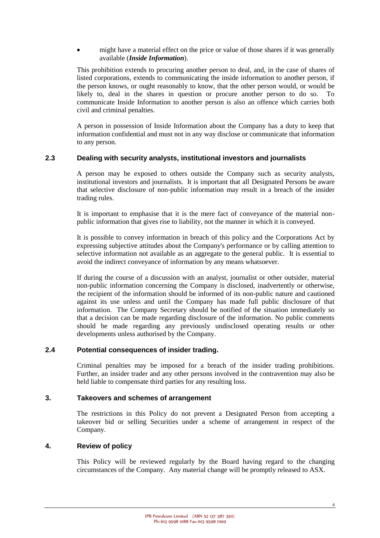might have a material effect on the price or value of those shares if it was generally available (*Inside Information*).

This prohibition extends to procuring another person to deal, and, in the case of shares of listed corporations, extends to communicating the inside information to another person, if the person knows, or ought reasonably to know, that the other person would, or would be likely to, deal in the shares in question or procure another person to do so. To communicate Inside Information to another person is also an offence which carries both civil and criminal penalties.

A person in possession of Inside Information about the Company has a duty to keep that information confidential and must not in any way disclose or communicate that information to any person.

## **2.3 Dealing with security analysts, institutional investors and journalists**

A person may be exposed to others outside the Company such as security analysts, institutional investors and journalists. It is important that all Designated Persons be aware that selective disclosure of non-public information may result in a breach of the insider trading rules.

It is important to emphasise that it is the mere fact of conveyance of the material nonpublic information that gives rise to liability, not the manner in which it is conveyed.

It is possible to convey information in breach of this policy and the Corporations Act by expressing subjective attitudes about the Company's performance or by calling attention to selective information not available as an aggregate to the general public. It is essential to avoid the indirect conveyance of information by any means whatsoever.

If during the course of a discussion with an analyst, journalist or other outsider, material non-public information concerning the Company is disclosed, inadvertently or otherwise, the recipient of the information should be informed of its non-public nature and cautioned against its use unless and until the Company has made full public disclosure of that information. The Company Secretary should be notified of the situation immediately so that a decision can be made regarding disclosure of the information. No public comments should be made regarding any previously undisclosed operating results or other developments unless authorised by the Company.

## **2.4 Potential consequences of insider trading.**

Criminal penalties may be imposed for a breach of the insider trading prohibitions. Further, an insider trader and any other persons involved in the contravention may also be held liable to compensate third parties for any resulting loss.

## **3. Takeovers and schemes of arrangement**

The restrictions in this Policy do not prevent a Designated Person from accepting a takeover bid or selling Securities under a scheme of arrangement in respect of the Company.

## **4. Review of policy**

This Policy will be reviewed regularly by the Board having regard to the changing circumstances of the Company. Any material change will be promptly released to ASX.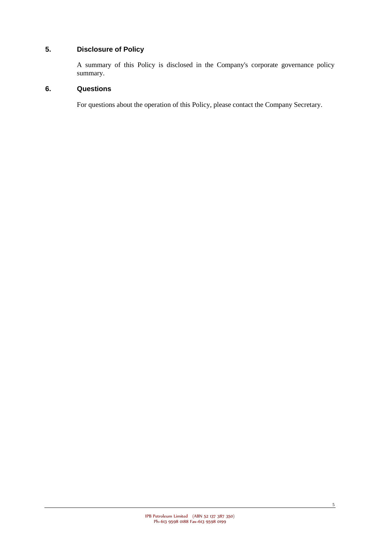# **5. Disclosure of Policy**

A summary of this Policy is disclosed in the Company's corporate governance policy summary.

## **6. Questions**

For questions about the operation of this Policy, please contact the Company Secretary.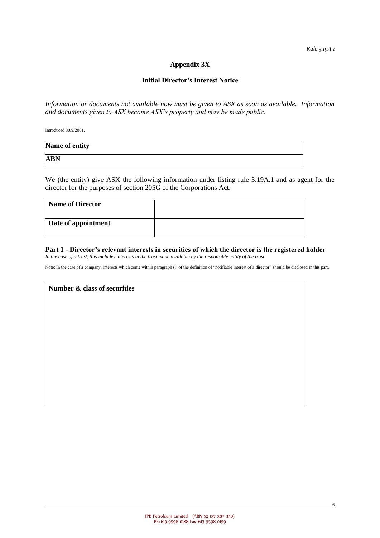*Rule 3.19A.1*

## **Appendix 3X**

### **Initial Director's Interest Notice**

*Information or documents not available now must be given to ASX as soon as available. Information and documents given to ASX become ASX's property and may be made public.*

Introduced 30/9/2001.

| Name of entity |  |
|----------------|--|
| <b>ABN</b>     |  |

We (the entity) give ASX the following information under listing rule 3.19A.1 and as agent for the director for the purposes of section 205G of the Corporations Act.

| <b>Name of Director</b> |  |
|-------------------------|--|
| Date of appointment     |  |

#### **Part 1 - Director's relevant interests in securities of which the director is the registered holder** *In the case of a trust, this includes interests in the trust made available by the responsible entity of the trust*

Note: In the case of a company, interests which come within paragraph (i) of the definition of "notifiable interest of a director" should be disclosed in this part.

| Number & class of securities |  |  |  |
|------------------------------|--|--|--|
|                              |  |  |  |
|                              |  |  |  |
|                              |  |  |  |
|                              |  |  |  |
|                              |  |  |  |
|                              |  |  |  |
|                              |  |  |  |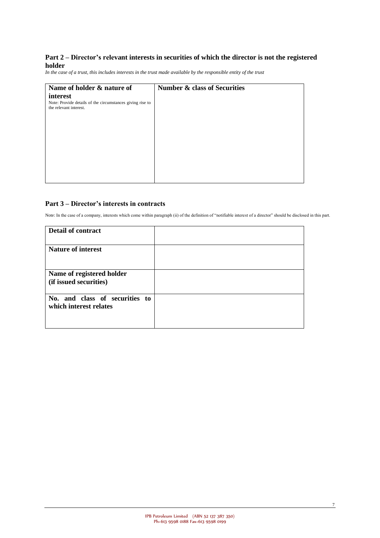### **Part 2 – Director's relevant interests in securities of which the director is not the registered holder**

*In the case of a trust, this includes interests in the trust made available by the responsible entity of the trust*

| Name of holder & nature of                                | <b>Number &amp; class of Securities</b> |
|-----------------------------------------------------------|-----------------------------------------|
| interest                                                  |                                         |
| Note: Provide details of the circumstances giving rise to |                                         |
| the relevant interest.                                    |                                         |
|                                                           |                                         |
|                                                           |                                         |
|                                                           |                                         |
|                                                           |                                         |
|                                                           |                                         |
|                                                           |                                         |
|                                                           |                                         |
|                                                           |                                         |
|                                                           |                                         |

### **Part 3 – Director's interests in contracts**

Note: In the case of a company, interests which come within paragraph (ii) of the definition of "notifiable interest of a director" should be disclosed in this part.

| <b>Detail of contract</b>                                |  |
|----------------------------------------------------------|--|
| <b>Nature of interest</b>                                |  |
| Name of registered holder<br>(if issued securities)      |  |
| No. and class of securities to<br>which interest relates |  |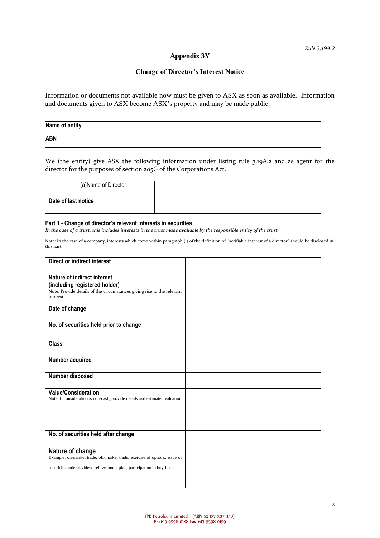### **Appendix 3Y**

### **Change of Director's Interest Notice**

Information or documents not available now must be given to ASX as soon as available. Information and documents given to ASX become ASX's property and may be made public.

| Name of entity |  |
|----------------|--|
| <b>ABN</b>     |  |

We (the entity) give ASX the following information under listing rule 3.19A.2 and as agent for the director for the purposes of section 205G of the Corporations Act.

| (a) Name of Director |  |
|----------------------|--|
| Date of last notice  |  |

#### **Part 1 - Change of director's relevant interests in securities**

*In the case of a trust, this includes interests in the trust made available by the responsible entity of the trust*

Note: In the case of a company, interests which come within paragraph (i) of the definition of "notifiable interest of a director" should be disclosed in this part.

| <b>Direct or indirect interest</b>                                                                        |  |
|-----------------------------------------------------------------------------------------------------------|--|
|                                                                                                           |  |
| <b>Nature of indirect interest</b>                                                                        |  |
| (including registered holder)<br>Note: Provide details of the circumstances giving rise to the relevant   |  |
| interest.                                                                                                 |  |
| Date of change                                                                                            |  |
|                                                                                                           |  |
| No. of securities held prior to change                                                                    |  |
|                                                                                                           |  |
| <b>Class</b>                                                                                              |  |
|                                                                                                           |  |
| Number acquired                                                                                           |  |
|                                                                                                           |  |
| Number disposed                                                                                           |  |
|                                                                                                           |  |
| <b>Value/Consideration</b><br>Note: If consideration is non-cash, provide details and estimated valuation |  |
|                                                                                                           |  |
|                                                                                                           |  |
|                                                                                                           |  |
|                                                                                                           |  |
| No. of securities held after change                                                                       |  |
| Nature of change                                                                                          |  |
| Example: on-market trade, off-market trade, exercise of options, issue of                                 |  |
| securities under dividend reinvestment plan, participation in buy-back                                    |  |
|                                                                                                           |  |
|                                                                                                           |  |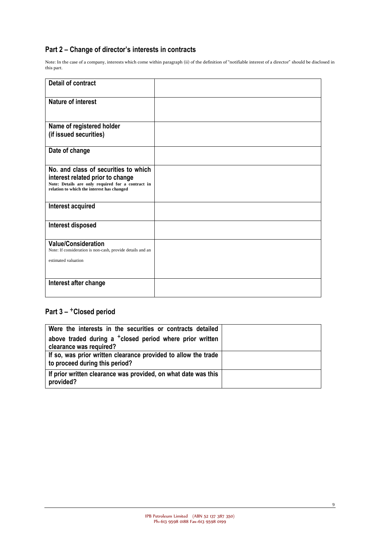## **Part 2 – Change of director's interests in contracts**

Note: In the case of a company, interests which come within paragraph (ii) of the definition of "notifiable interest of a director" should be disclosed in this part.

| <b>Detail of contract</b>                                                                       |  |
|-------------------------------------------------------------------------------------------------|--|
| <b>Nature of interest</b>                                                                       |  |
|                                                                                                 |  |
| Name of registered holder<br>(if issued securities)                                             |  |
|                                                                                                 |  |
| Date of change                                                                                  |  |
| No. and class of securities to which                                                            |  |
| interest related prior to change                                                                |  |
| Note: Details are only required for a contract in<br>relation to which the interest has changed |  |
|                                                                                                 |  |
| Interest acquired                                                                               |  |
| Interest disposed                                                                               |  |
|                                                                                                 |  |
| <b>Value/Consideration</b><br>Note: If consideration is non-cash, provide details and an        |  |
| estimated valuation                                                                             |  |
|                                                                                                 |  |
| Interest after change                                                                           |  |
|                                                                                                 |  |

## **Part 3 –** +**Closed period**

| Were the interests in the securities or contracts detailed                                       |  |
|--------------------------------------------------------------------------------------------------|--|
| above traded during a $^+$ closed period where prior written<br>clearance was required?          |  |
| If so, was prior written clearance provided to allow the trade<br>to proceed during this period? |  |
| If prior written clearance was provided, on what date was this<br>provided?                      |  |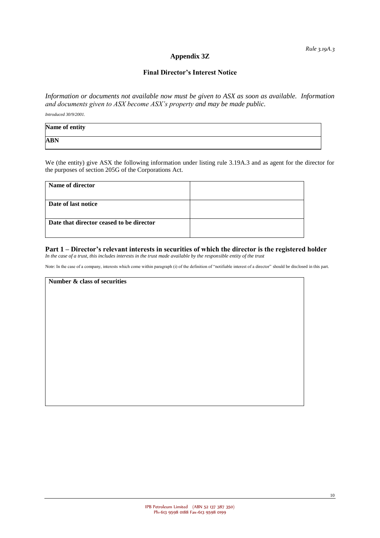### **Appendix 3Z**

#### **Final Director's Interest Notice**

*Information or documents not available now must be given to ASX as soon as available. Information and documents given to ASX become ASX's property and may be made public.*

*Introduced 30/9/2001.*

| Name of entity |  |
|----------------|--|
| <b>ABN</b>     |  |

We (the entity) give ASX the following information under listing rule 3.19A.3 and as agent for the director for the purposes of section 205G of the Corporations Act.

## **Part 1 – Director's relevant interests in securities of which the director is the registered holder**

*In the case of a trust, this includes interests in the trust made available by the responsible entity of the trust*

Note: In the case of a company, interests which come within paragraph (i) of the definition of "notifiable interest of a director" should be disclosed in this part.

**Number & class of securities**